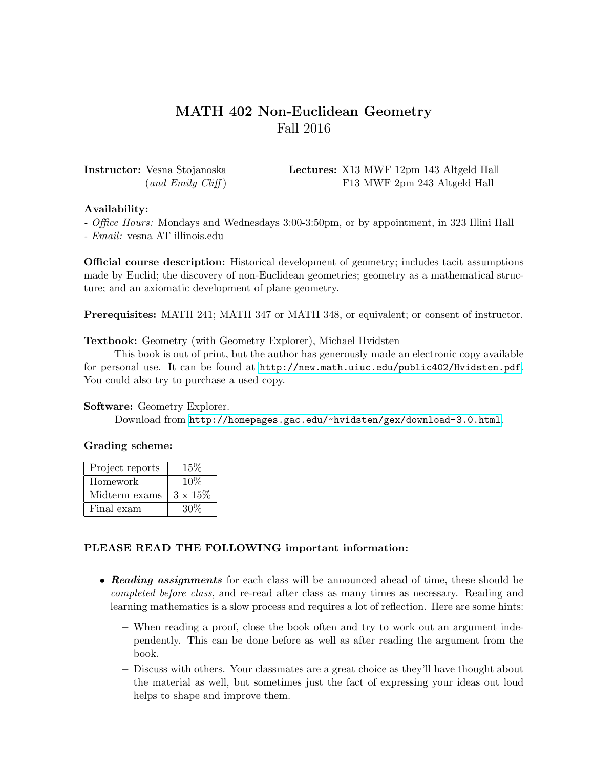# MATH 402 Non-Euclidean Geometry Fall 2016

Instructor: Vesna Stojanoska Lectures: X13 MWF 12pm 143 Altgeld Hall (and Emily Cliff) F13 MWF 2pm 243 Altgeld Hall

### Availability:

- Office Hours: Mondays and Wednesdays 3:00-3:50pm, or by appointment, in 323 Illini Hall - Email: vesna AT illinois.edu

Official course description: Historical development of geometry; includes tacit assumptions made by Euclid; the discovery of non-Euclidean geometries; geometry as a mathematical structure; and an axiomatic development of plane geometry.

Prerequisites: MATH 241; MATH 347 or MATH 348, or equivalent; or consent of instructor.

Textbook: Geometry (with Geometry Explorer), Michael Hvidsten

This book is out of print, but the author has generously made an electronic copy available for personal use. It can be found at <http://new.math.uiuc.edu/public402/Hvidsten.pdf>. You could also try to purchase a used copy.

### Software: Geometry Explorer.

Download from <http://homepages.gac.edu/~hvidsten/gex/download-3.0.html>.

### Grading scheme:

| Project reports | $15\%$          |
|-----------------|-----------------|
| Homework        | 10%             |
| Midterm exams   | $3 \times 15\%$ |
| Final exam      | 30\%            |

## PLEASE READ THE FOLLOWING important information:

- Reading assignments for each class will be announced ahead of time, these should be completed before class, and re-read after class as many times as necessary. Reading and learning mathematics is a slow process and requires a lot of reflection. Here are some hints:
	- When reading a proof, close the book often and try to work out an argument independently. This can be done before as well as after reading the argument from the book.
	- Discuss with others. Your classmates are a great choice as they'll have thought about the material as well, but sometimes just the fact of expressing your ideas out loud helps to shape and improve them.